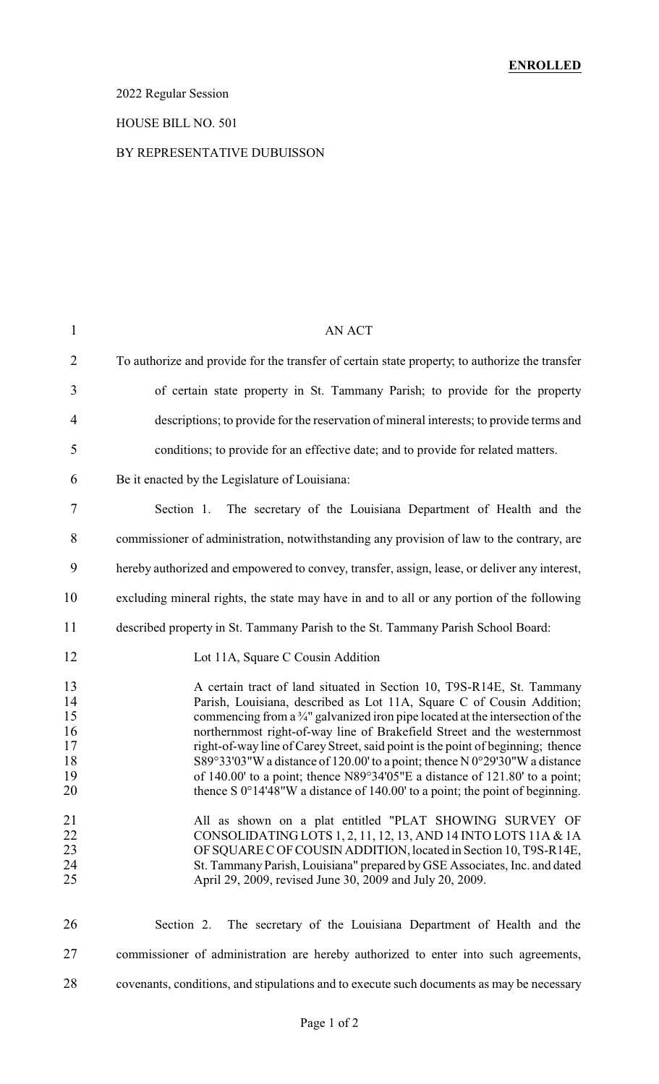# 2022 Regular Session

### HOUSE BILL NO. 501

### BY REPRESENTATIVE DUBUISSON

| $\mathbf{1}$                                 | <b>AN ACT</b>                                                                                                                                                                                                                                                                                                                                                                                                                                                                                                                                                                                                                                                     |
|----------------------------------------------|-------------------------------------------------------------------------------------------------------------------------------------------------------------------------------------------------------------------------------------------------------------------------------------------------------------------------------------------------------------------------------------------------------------------------------------------------------------------------------------------------------------------------------------------------------------------------------------------------------------------------------------------------------------------|
| $\overline{2}$                               | To authorize and provide for the transfer of certain state property, to authorize the transfer                                                                                                                                                                                                                                                                                                                                                                                                                                                                                                                                                                    |
| 3                                            | of certain state property in St. Tammany Parish; to provide for the property                                                                                                                                                                                                                                                                                                                                                                                                                                                                                                                                                                                      |
| $\overline{4}$                               | descriptions; to provide for the reservation of mineral interests; to provide terms and                                                                                                                                                                                                                                                                                                                                                                                                                                                                                                                                                                           |
| 5                                            | conditions; to provide for an effective date; and to provide for related matters.                                                                                                                                                                                                                                                                                                                                                                                                                                                                                                                                                                                 |
| 6                                            | Be it enacted by the Legislature of Louisiana:                                                                                                                                                                                                                                                                                                                                                                                                                                                                                                                                                                                                                    |
| 7                                            | Section 1. The secretary of the Louisiana Department of Health and the                                                                                                                                                                                                                                                                                                                                                                                                                                                                                                                                                                                            |
| 8                                            | commissioner of administration, notwithstanding any provision of law to the contrary, are                                                                                                                                                                                                                                                                                                                                                                                                                                                                                                                                                                         |
| 9                                            | hereby authorized and empowered to convey, transfer, assign, lease, or deliver any interest,                                                                                                                                                                                                                                                                                                                                                                                                                                                                                                                                                                      |
| 10                                           | excluding mineral rights, the state may have in and to all or any portion of the following                                                                                                                                                                                                                                                                                                                                                                                                                                                                                                                                                                        |
| 11                                           | described property in St. Tammany Parish to the St. Tammany Parish School Board:                                                                                                                                                                                                                                                                                                                                                                                                                                                                                                                                                                                  |
| 12                                           | Lot 11A, Square C Cousin Addition                                                                                                                                                                                                                                                                                                                                                                                                                                                                                                                                                                                                                                 |
| 13<br>14<br>15<br>16<br>17<br>18<br>19<br>20 | A certain tract of land situated in Section 10, T9S-R14E, St. Tammany<br>Parish, Louisiana, described as Lot 11A, Square C of Cousin Addition;<br>commencing from a $\frac{3}{4}$ " galvanized iron pipe located at the intersection of the<br>northernmost right-of-way line of Brakefield Street and the westernmost<br>right-of-way line of Carey Street, said point is the point of beginning; thence<br>S89°33'03"W a distance of 120.00' to a point; thence N 0°29'30"W a distance<br>of 140.00' to a point; thence N89°34'05"E a distance of 121.80' to a point;<br>thence S $0^{\circ}14'48''W$ a distance of 140.00' to a point; the point of beginning. |
| 21<br>22<br>23<br>24<br>25                   | All as shown on a plat entitled "PLAT SHOWING SURVEY OF<br>CONSOLIDATING LOTS 1, 2, 11, 12, 13, AND 14 INTO LOTS 11A & 1A<br>OF SQUARE C OF COUSIN ADDITION, located in Section 10, T9S-R14E,<br>St. Tammany Parish, Louisiana" prepared by GSE Associates, Inc. and dated<br>April 29, 2009, revised June 30, 2009 and July 20, 2009.                                                                                                                                                                                                                                                                                                                            |
| 26                                           | Section 2. The secretary of the Louisiana Department of Health and the                                                                                                                                                                                                                                                                                                                                                                                                                                                                                                                                                                                            |
| 27                                           | commissioner of administration are hereby authorized to enter into such agreements,                                                                                                                                                                                                                                                                                                                                                                                                                                                                                                                                                                               |